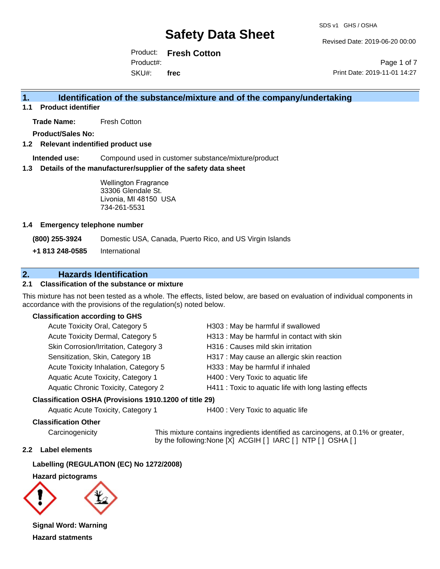Revised Date: 2019-06-20 00:00

Product: **Fresh Cotton**  SKU#: Product#: **frec**

Page 1 of 7 Print Date: 2019-11-01 14:27

## **1. Identification of the substance/mixture and of the company/undertaking**

**1.1 Product identifier**

**Trade Name:** Fresh Cotton

**Product/Sales No:**

#### **1.2 Relevant indentified product use**

**Intended use:** Compound used in customer substance/mixture/product

#### **1.3 Details of the manufacturer/supplier of the safety data sheet**

Wellington Fragrance 33306 Glendale St. Livonia, MI 48150 USA 734-261-5531

#### **1.4 Emergency telephone number**

**(800) 255-3924** Domestic USA, Canada, Puerto Rico, and US Virgin Islands

**+1 813 248-0585** International

## **2. Hazards Identification**

### **2.1 Classification of the substance or mixture**

This mixture has not been tested as a whole. The effects, listed below, are based on evaluation of individual components in accordance with the provisions of the regulation(s) noted below.

#### **Classification according to GHS**

| Acute Toxicity Oral, Category 5       | H303: May be harmful if swallowed                      |
|---------------------------------------|--------------------------------------------------------|
| Acute Toxicity Dermal, Category 5     | H313: May be harmful in contact with skin              |
| Skin Corrosion/Irritation, Category 3 | H316 : Causes mild skin irritation                     |
| Sensitization, Skin, Category 1B      | H317 : May cause an allergic skin reaction             |
| Acute Toxicity Inhalation, Category 5 | H333: May be harmful if inhaled                        |
| Aquatic Acute Toxicity, Category 1    | H400 : Very Toxic to aquatic life                      |
| Aquatic Chronic Toxicity, Category 2  | H411 : Toxic to aquatic life with long lasting effects |
|                                       |                                                        |

#### **Classification OSHA (Provisions 1910.1200 of title 29)**

Aquatic Acute Toxicity, Category 1 **H400** : Very Toxic to aquatic life

#### **Classification Other**

Carcinogenicity This mixture contains ingredients identified as carcinogens, at 0.1% or greater, by the following:None [X] ACGIH [ ] IARC [ ] NTP [ ] OSHA [ ]

#### **2.2 Label elements**

**Labelling (REGULATION (EC) No 1272/2008)**

**Hazard pictograms**



**Signal Word: Warning Hazard statments**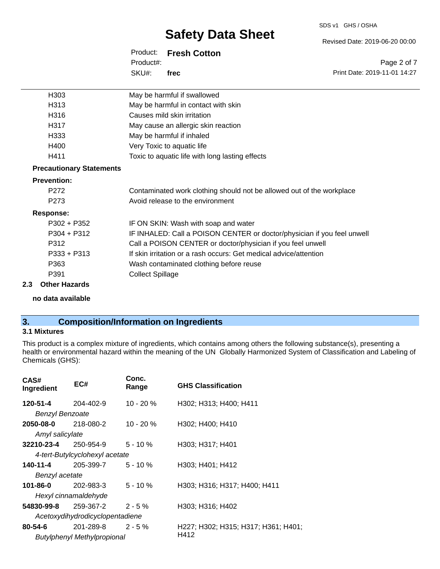#### SDS v1 GHS / OSHA

# **Safety Data Sheet**

Product: **Fresh Cotton**  SKU#: Product#: **frec**

Revised Date: 2019-06-20 00:00

Page 2 of 7 Print Date: 2019-11-01 14:27

| H <sub>303</sub>                | May be harmful if swallowed                                             |
|---------------------------------|-------------------------------------------------------------------------|
| H313                            | May be harmful in contact with skin                                     |
| H316                            | Causes mild skin irritation                                             |
| H317                            | May cause an allergic skin reaction                                     |
| H333                            | May be harmful if inhaled                                               |
| H400                            | Very Toxic to aquatic life                                              |
| H411                            | Toxic to aquatic life with long lasting effects                         |
| <b>Precautionary Statements</b> |                                                                         |
| <b>Prevention:</b>              |                                                                         |
| P272                            | Contaminated work clothing should not be allowed out of the workplace   |
| P273                            | Avoid release to the environment                                        |
| <b>Response:</b>                |                                                                         |
| $P302 + P352$                   | IF ON SKIN: Wash with soap and water                                    |
| $P304 + P312$                   | IF INHALED: Call a POISON CENTER or doctor/physician if you feel unwell |
| P312                            | Call a POISON CENTER or doctor/physician if you feel unwell             |
| $P333 + P313$                   | If skin irritation or a rash occurs: Get medical advice/attention       |
| P363                            | Wash contaminated clothing before reuse                                 |
| P391                            | <b>Collect Spillage</b>                                                 |
| 2.3<br><b>Other Hazards</b>     |                                                                         |

**no data available**

## **3. Composition/Information on Ingredients**

#### **3.1 Mixtures**

This product is a complex mixture of ingredients, which contains among others the following substance(s), presenting a health or environmental hazard within the meaning of the UN Globally Harmonized System of Classification and Labeling of Chemicals (GHS):

| CAS#<br>Ingredient         | EC#                                | Conc.<br>Range | <b>GHS Classification</b>           |
|----------------------------|------------------------------------|----------------|-------------------------------------|
| 120-51-4                   | 204-402-9                          | $10 - 20 \%$   | H302; H313; H400; H411              |
| <b>Benzyl Benzoate</b>     |                                    |                |                                     |
| 2050-08-0                  | 218-080-2                          | $10 - 20 \%$   | H302; H400; H410                    |
| Amyl salicylate            |                                    |                |                                     |
| $32210 - 23 - 4$ 250-954-9 |                                    | $5 - 10 \%$    | H303; H317; H401                    |
|                            | 4-tert-Butylcyclohexyl acetate     |                |                                     |
| 140-11-4                   | 205-399-7                          | $5 - 10 \%$    | H303; H401; H412                    |
| Benzyl acetate             |                                    |                |                                     |
| 101-86-0                   | 202-983-3                          | $5 - 10 \%$    | H303; H316; H317; H400; H411        |
|                            | Hexyl cinnamaldehyde               |                |                                     |
|                            | $54830 - 99 - 8$ 259-367-2 2-5%    |                | H303; H316; H402                    |
|                            | Acetoxydihydrodicyclopentadiene    |                |                                     |
| $80 - 54 - 6$              | 201-289-8                          | $2 - 5%$       | H227; H302; H315; H317; H361; H401; |
|                            | <b>Butylphenyl Methylpropional</b> |                | H412                                |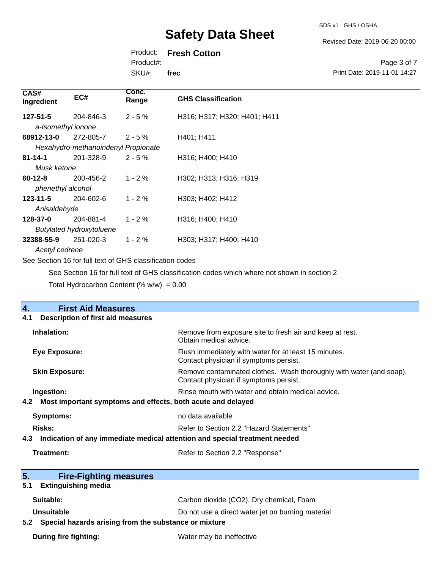SDS v1 GHS / OSHA

Revised Date: 2019-06-20 00:00

Print Date: 2019-11-01 14:27

Page 3 of 7

## Product: **Fresh Cotton**

Product#:

SKU#: **frec**

| CAS#<br>Ingredient           | EC#                                 | Conc.<br>Range                                           | <b>GHS Classification</b>    |
|------------------------------|-------------------------------------|----------------------------------------------------------|------------------------------|
| $127 - 51 - 5$               | 204-846-3                           | $2 - 5%$                                                 | H316; H317; H320; H401; H411 |
| a-Isomethyl ionone           |                                     |                                                          |                              |
| 68912-13-0                   | 272-805-7                           | $2 - 5%$                                                 | H401; H411                   |
|                              | Hexahydro-methanoindenyl Propionate |                                                          |                              |
| $81 - 14 - 1$                | 201-328-9                           | $2 - 5%$                                                 | H316; H400; H410             |
| Musk ketone                  |                                     |                                                          |                              |
| $60 - 12 - 8$                | 200-456-2                           | $1 - 2%$                                                 | H302; H313; H316; H319       |
| phenethyl alcohol            |                                     |                                                          |                              |
| $123 - 11 - 5$               | 204-602-6                           | $1 - 2%$                                                 | H303; H402; H412             |
| Anisaldehyde                 |                                     |                                                          |                              |
| 128-37-0                     | 204-881-4                           | $1 - 2%$                                                 | H316; H400; H410             |
|                              | <b>Butylated hydroxytoluene</b>     |                                                          |                              |
| 32388-55-9<br>Acetyl cedrene | 251-020-3                           | $1 - 2%$                                                 | H303; H317; H400; H410       |
|                              |                                     | See Section 16 for full text of GHS classification codes |                              |

See Section 16 for full text of GHS classification codes which where not shown in section 2

Total Hydrocarbon Content  $(\% w/w) = 0.00$ 

| <b>First Aid Measures</b><br>4.                                                   |                                                                                                               |  |
|-----------------------------------------------------------------------------------|---------------------------------------------------------------------------------------------------------------|--|
| <b>Description of first aid measures</b><br>4.1                                   |                                                                                                               |  |
| Inhalation:                                                                       | Remove from exposure site to fresh air and keep at rest.<br>Obtain medical advice.                            |  |
| <b>Eye Exposure:</b>                                                              | Flush immediately with water for at least 15 minutes.<br>Contact physician if symptoms persist.               |  |
| <b>Skin Exposure:</b>                                                             | Remove contaminated clothes. Wash thoroughly with water (and soap).<br>Contact physician if symptoms persist. |  |
| Ingestion:                                                                        | Rinse mouth with water and obtain medical advice.                                                             |  |
| Most important symptoms and effects, both acute and delayed<br>4.2 <sub>2</sub>   |                                                                                                               |  |
| <b>Symptoms:</b>                                                                  | no data available                                                                                             |  |
| Risks:                                                                            | Refer to Section 2.2 "Hazard Statements"                                                                      |  |
| Indication of any immediate medical attention and special treatment needed<br>4.3 |                                                                                                               |  |
| Treatment:                                                                        | Refer to Section 2.2 "Response"                                                                               |  |
|                                                                                   |                                                                                                               |  |
| 5.<br><b>Fire-Fighting measures</b>                                               |                                                                                                               |  |
| <b>Extinguishing media</b><br>5.1                                                 |                                                                                                               |  |
| Suitable:                                                                         | Carbon dioxide (CO2), Dry chemical, Foam                                                                      |  |
| Unsuitable                                                                        | Do not use a direct water jet on burning material                                                             |  |
| Special hazards arising from the substance or mixture<br>5.2                      |                                                                                                               |  |
| <b>During fire fighting:</b>                                                      | Water may be ineffective                                                                                      |  |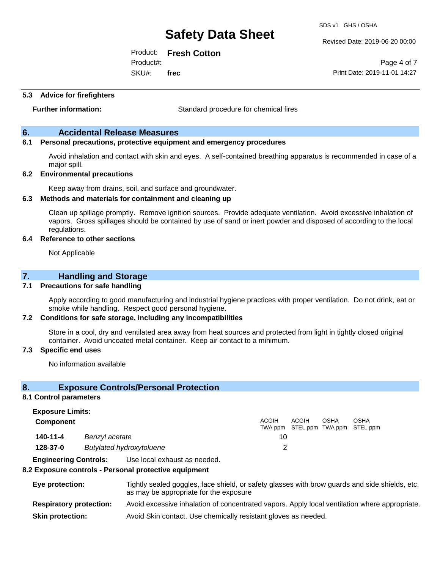Revised Date: 2019-06-20 00:00

Print Date: 2019-11-01 14:27

Page 4 of 7

Product: **Fresh Cotton**  Product#:

SKU#: **frec**

#### **5.3 Advice for firefighters**

**Further information:** Standard procedure for chemical fires

### **6. Accidental Release Measures**

#### **6.1 Personal precautions, protective equipment and emergency procedures**

Avoid inhalation and contact with skin and eyes. A self-contained breathing apparatus is recommended in case of a major spill.

#### **6.2 Environmental precautions**

Keep away from drains, soil, and surface and groundwater.

#### **6.3 Methods and materials for containment and cleaning up**

Clean up spillage promptly. Remove ignition sources. Provide adequate ventilation. Avoid excessive inhalation of vapors. Gross spillages should be contained by use of sand or inert powder and disposed of according to the local regulations.

#### **6.4 Reference to other sections**

Not Applicable

### **7. Handling and Storage**

#### **7.1 Precautions for safe handling**

Apply according to good manufacturing and industrial hygiene practices with proper ventilation. Do not drink, eat or smoke while handling. Respect good personal hygiene.

#### **7.2 Conditions for safe storage, including any incompatibilities**

Store in a cool, dry and ventilated area away from heat sources and protected from light in tightly closed original container. Avoid uncoated metal container. Keep air contact to a minimum.

#### **7.3 Specific end uses**

No information available

### **8. Exposure Controls/Personal Protection**

#### **8.1 Control parameters**

**Exposure Limits:**

| <b>Component</b> |                                 | ACGIH | ACGIH<br>TWA ppm STEL ppm TWA ppm STEL ppm | OSHA | OSHA |
|------------------|---------------------------------|-------|--------------------------------------------|------|------|
| $140 - 11 - 4$   | Benzyl acetate                  | 10    |                                            |      |      |
| 128-37-0         | <b>Butylated hydroxytoluene</b> |       |                                            |      |      |

**Engineering Controls:** Use local exhaust as needed.

#### **8.2 Exposure controls - Personal protective equipment**

| Eye protection:                | Tightly sealed goggles, face shield, or safety glasses with brow guards and side shields, etc.<br>as may be appropriate for the exposure |
|--------------------------------|------------------------------------------------------------------------------------------------------------------------------------------|
| <b>Respiratory protection:</b> | Avoid excessive inhalation of concentrated vapors. Apply local ventilation where appropriate.                                            |
| <b>Skin protection:</b>        | Avoid Skin contact. Use chemically resistant gloves as needed.                                                                           |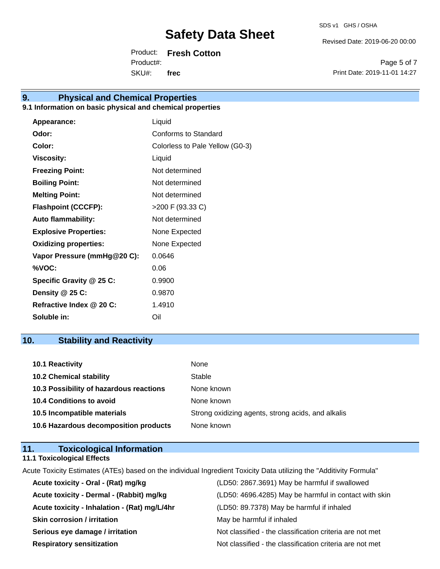Revised Date: 2019-06-20 00:00

Product: **Fresh Cotton**  SKU#: Product#: **frec**

Page 5 of 7 Print Date: 2019-11-01 14:27

## **9. Physical and Chemical Properties**

### **9.1 Information on basic physical and chemical properties**

| Appearance:                  | Liquid                          |
|------------------------------|---------------------------------|
| Odor:                        | Conforms to Standard            |
| Color:                       | Colorless to Pale Yellow (G0-3) |
| <b>Viscosity:</b>            | Liquid                          |
| <b>Freezing Point:</b>       | Not determined                  |
| <b>Boiling Point:</b>        | Not determined                  |
| <b>Melting Point:</b>        | Not determined                  |
| <b>Flashpoint (CCCFP):</b>   | >200 F (93.33 C)                |
| <b>Auto flammability:</b>    | Not determined                  |
| <b>Explosive Properties:</b> | None Expected                   |
| <b>Oxidizing properties:</b> | None Expected                   |
| Vapor Pressure (mmHg@20 C):  | 0.0646                          |
| %VOC:                        | 0.06                            |
| Specific Gravity @ 25 C:     | 0.9900                          |
| Density @ 25 C:              | 0.9870                          |
| Refractive Index @ 20 C:     | 1.4910                          |
| Soluble in:                  | Oil                             |

## **10. Stability and Reactivity**

| <b>10.1 Reactivity</b>                  | None                                               |
|-----------------------------------------|----------------------------------------------------|
| <b>10.2 Chemical stability</b>          | Stable                                             |
| 10.3 Possibility of hazardous reactions | None known                                         |
| <b>10.4 Conditions to avoid</b>         | None known                                         |
| 10.5 Incompatible materials             | Strong oxidizing agents, strong acids, and alkalis |
| 10.6 Hazardous decomposition products   | None known                                         |

## **11. Toxicological Information**

**11.1 Toxicological Effects**

Acute Toxicity Estimates (ATEs) based on the individual Ingredient Toxicity Data utilizing the "Additivity Formula"

| Acute toxicity - Oral - (Rat) mg/kg          | (LD50: 2867.3691) May be harmful if swallowed            |
|----------------------------------------------|----------------------------------------------------------|
| Acute toxicity - Dermal - (Rabbit) mg/kg     | (LD50: 4696.4285) May be harmful in contact with skin    |
| Acute toxicity - Inhalation - (Rat) mg/L/4hr | (LD50: 89.7378) May be harmful if inhaled                |
| <b>Skin corrosion / irritation</b>           | May be harmful if inhaled                                |
| Serious eye damage / irritation              | Not classified - the classification criteria are not met |
| <b>Respiratory sensitization</b>             | Not classified - the classification criteria are not met |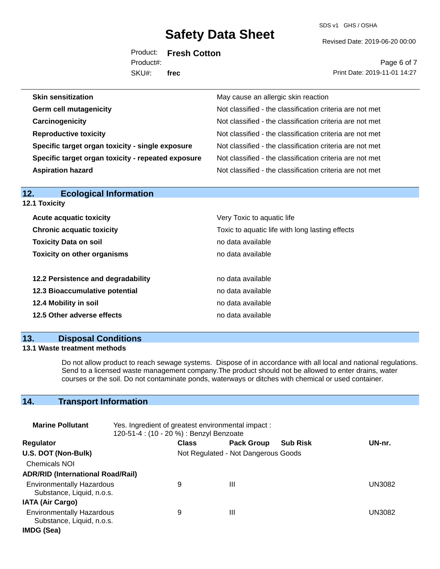SDS v1 GHS / OSHA

Revised Date: 2019-06-20 00:00

Product: **Fresh Cotton**  SKU#: Product#: **frec**

Page 6 of 7 Print Date: 2019-11-01 14:27

| May cause an allergic skin reaction                      |
|----------------------------------------------------------|
| Not classified - the classification criteria are not met |
| Not classified - the classification criteria are not met |
| Not classified - the classification criteria are not met |
| Not classified - the classification criteria are not met |
| Not classified - the classification criteria are not met |
| Not classified - the classification criteria are not met |
|                                                          |

| 12.<br><b>Ecological Information</b> |                                                 |
|--------------------------------------|-------------------------------------------------|
| 12.1 Toxicity                        |                                                 |
| <b>Acute acquatic toxicity</b>       | Very Toxic to aquatic life                      |
| <b>Chronic acquatic toxicity</b>     | Toxic to aquatic life with long lasting effects |
| <b>Toxicity Data on soil</b>         | no data available                               |
| <b>Toxicity on other organisms</b>   | no data available                               |
| 12.2 Persistence and degradability   | no data available                               |
| 12.3 Bioaccumulative potential       | no data available                               |
| 12.4 Mobility in soil                | no data available                               |
| 12.5 Other adverse effects           | no data available                               |

### **13. Disposal Conditions**

### **13.1 Waste treatment methods**

Do not allow product to reach sewage systems. Dispose of in accordance with all local and national regulations. Send to a licensed waste management company.The product should not be allowed to enter drains, water courses or the soil. Do not contaminate ponds, waterways or ditches with chemical or used container.

## **14. Transport Information**

| <b>Marine Pollutant</b>                                       | Yes. Ingredient of greatest environmental impact:<br>120-51-4 : (10 - 20 %) : Benzyl Benzoate |              |                                     |                 |               |
|---------------------------------------------------------------|-----------------------------------------------------------------------------------------------|--------------|-------------------------------------|-----------------|---------------|
| <b>Regulator</b>                                              |                                                                                               | <b>Class</b> | <b>Pack Group</b>                   | <b>Sub Risk</b> | UN-nr.        |
| U.S. DOT (Non-Bulk)                                           |                                                                                               |              | Not Regulated - Not Dangerous Goods |                 |               |
| <b>Chemicals NOI</b>                                          |                                                                                               |              |                                     |                 |               |
| <b>ADR/RID (International Road/Rail)</b>                      |                                                                                               |              |                                     |                 |               |
| <b>Environmentally Hazardous</b><br>Substance, Liquid, n.o.s. |                                                                                               | 9            | Ш                                   |                 | <b>UN3082</b> |
| <b>IATA (Air Cargo)</b>                                       |                                                                                               |              |                                     |                 |               |
| <b>Environmentally Hazardous</b><br>Substance, Liquid, n.o.s. |                                                                                               | 9            | Ш                                   |                 | UN3082        |
| IMDG (Sea)                                                    |                                                                                               |              |                                     |                 |               |